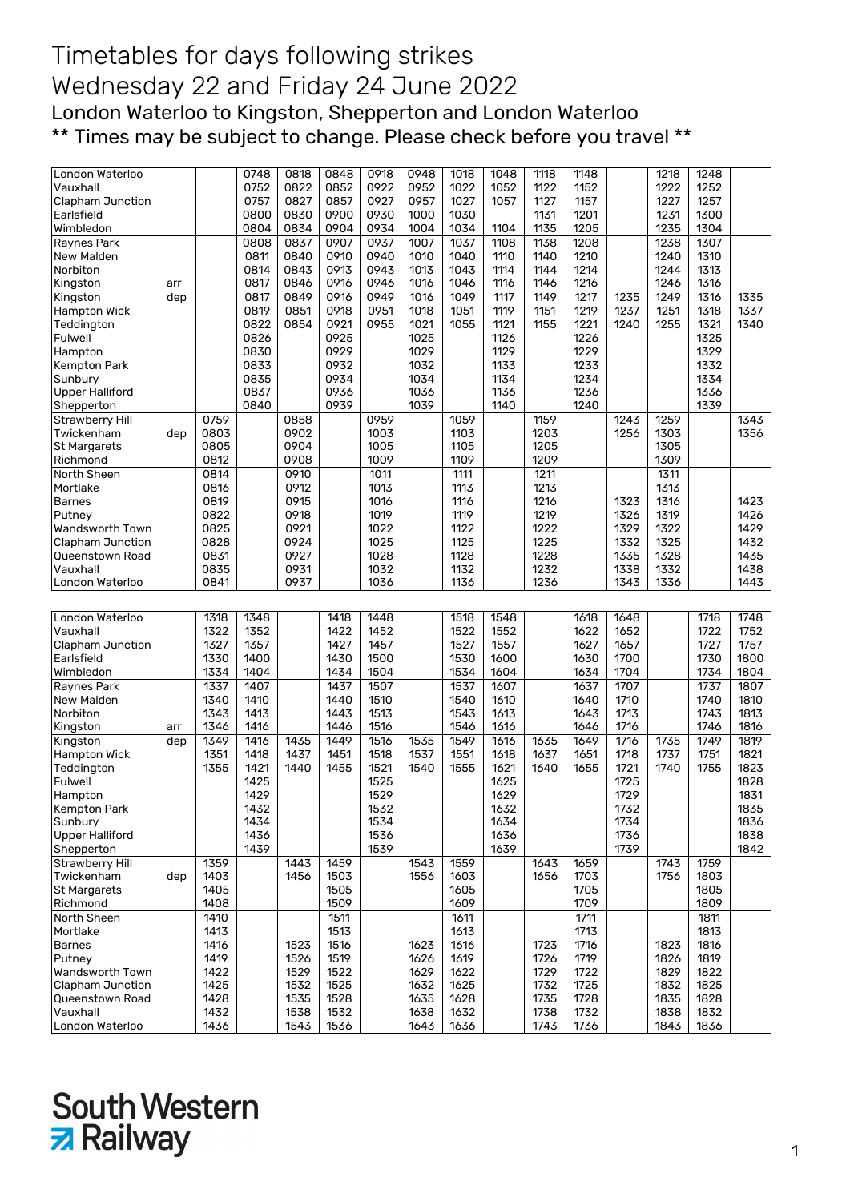## Timetables for days following strikes Wednesday 22 and Friday 24 June 2022 London Waterloo to Kingston, Shepperton and London Waterloo \*\* Times may be subject to change. Please check before you travel \*\*

|                             |     |              | 0748 | 0818         | 0848         | 0918 | 0948         | 1018         | 1048 | 1118         | 1148         |      | 1218         | 1248         |      |
|-----------------------------|-----|--------------|------|--------------|--------------|------|--------------|--------------|------|--------------|--------------|------|--------------|--------------|------|
| London Waterloo             |     |              |      | 0822         |              |      |              |              |      |              |              |      |              |              |      |
| Vauxhall                    |     |              | 0752 |              | 0852         | 0922 | 0952         | 1022         | 1052 | 1122         | 1152         |      | 1222         | 1252         |      |
| Clapham Junction            |     |              | 0757 | 0827         | 0857         | 0927 | 0957         | 1027         | 1057 | 1127         | 1157         |      | 1227         | 1257         |      |
| Earlsfield                  |     |              | 0800 | 0830         | 0900         | 0930 | 1000         | 1030         |      | 1131         | 1201         |      | 1231         | 1300         |      |
| Wimbledon                   |     |              | 0804 | 0834         | 0904         | 0934 | 1004         | 1034         | 1104 | 1135         | 1205         |      | 1235         | 1304         |      |
| Raynes Park                 |     |              | 0808 | 0837         | 0907         | 0937 | 1007         | 1037         | 1108 | 1138         | 1208         |      | 1238         | 1307         |      |
| New Malden                  |     |              | 0811 | 0840         | 0910         | 0940 | 1010         | 1040         | 1110 | 1140         | 1210         |      | 1240         | 1310         |      |
| Norbiton                    |     |              | 0814 | 0843         | 0913         | 0943 | 1013         | 1043         | 1114 | 1144         | 1214         |      | 1244         | 1313         |      |
| Kingston                    | arr |              | 0817 | 0846         | 0916         | 0946 | 1016         | 1046         | 1116 | 1146         | 1216         |      | 1246         | 1316         |      |
| Kingston                    | dep |              | 0817 | 0849         | 0916         | 0949 | 1016         | 1049         | 1117 | 1149         | 1217         | 1235 | 1249         | 1316         | 1335 |
| Hampton Wick                |     |              | 0819 | 0851         | 0918         | 0951 | 1018         | 1051         | 1119 | 1151         | 1219         | 1237 | 1251         | 1318         | 1337 |
|                             |     |              |      |              |              |      |              |              |      |              |              | 1240 |              |              |      |
| Teddington                  |     |              | 0822 | 0854         | 0921         | 0955 | 1021         | 1055         | 1121 | 1155         | 1221         |      | 1255         | 1321         | 1340 |
| Fulwell                     |     |              | 0826 |              | 0925         |      | 1025         |              | 1126 |              | 1226         |      |              | 1325         |      |
| Hampton                     |     |              | 0830 |              | 0929         |      | 1029         |              | 1129 |              | 1229         |      |              | 1329         |      |
| <b>Kempton Park</b>         |     |              | 0833 |              | 0932         |      | 1032         |              | 1133 |              | 1233         |      |              | 1332         |      |
| Sunbury                     |     |              | 0835 |              | 0934         |      | 1034         |              | 1134 |              | 1234         |      |              | 1334         |      |
| <b>Upper Halliford</b>      |     |              | 0837 |              | 0936         |      | 1036         |              | 1136 |              | 1236         |      |              | 1336         |      |
| Shepperton                  |     |              | 0840 |              | 0939         |      | 1039         |              | 1140 |              | 1240         |      |              | 1339         |      |
| <b>Strawberry Hill</b>      |     | 0759         |      | 0858         |              | 0959 |              | 1059         |      | 1159         |              | 1243 | 1259         |              | 1343 |
| Twickenham                  | dep | 0803         |      | 0902         |              | 1003 |              | 1103         |      | 1203         |              | 1256 | 1303         |              | 1356 |
| <b>St Margarets</b>         |     | 0805         |      | 0904         |              | 1005 |              | 1105         |      | 1205         |              |      | 1305         |              |      |
| Richmond                    |     | 0812         |      | 0908         |              | 1009 |              | 1109         |      | 1209         |              |      | 1309         |              |      |
|                             |     |              |      |              |              |      |              |              |      |              |              |      |              |              |      |
| North Sheen                 |     | 0814         |      | 0910         |              | 1011 |              | 1111         |      | 1211         |              |      | 1311         |              |      |
| Mortlake                    |     | 0816         |      | 0912         |              | 1013 |              | 1113         |      | 1213         |              |      | 1313         |              |      |
| <b>Barnes</b>               |     | 0819         |      | 0915         |              | 1016 |              | 1116         |      | 1216         |              | 1323 | 1316         |              | 1423 |
| Putney                      |     | 0822         |      | 0918         |              | 1019 |              | 1119         |      | 1219         |              | 1326 | 1319         |              | 1426 |
| Wandsworth Town             |     | 0825         |      | 0921         |              | 1022 |              | 1122         |      | 1222         |              | 1329 | 1322         |              | 1429 |
| <b>Clapham Junction</b>     |     | 0828         |      | 0924         |              | 1025 |              | 1125         |      | 1225         |              | 1332 | 1325         |              | 1432 |
| Queenstown Road             |     | 0831         |      | 0927         |              | 1028 |              | 1128         |      | 1228         |              | 1335 | 1328         |              | 1435 |
| Vauxhall                    |     | 0835         |      | 0931         |              | 1032 |              | 1132         |      | 1232         |              | 1338 | 1332         |              | 1438 |
| London Waterloo             |     | 0841         |      | 0937         |              | 1036 |              | 1136         |      | 1236         |              | 1343 | 1336         |              | 1443 |
|                             |     |              |      |              |              |      |              |              |      |              |              |      |              |              |      |
|                             |     |              |      |              |              |      |              |              |      |              |              |      |              |              |      |
|                             |     |              |      |              |              |      |              |              |      |              |              |      |              |              |      |
| London Waterloo             |     | 1318         | 1348 |              | 1418         | 1448 |              | 1518         | 1548 |              | 1618         | 1648 |              | 1718         | 1748 |
| Vauxhall                    |     | 1322         | 1352 |              | 1422         | 1452 |              | 1522         | 1552 |              | 1622         | 1652 |              | 1722         | 1752 |
| Clapham Junction            |     | 1327         | 1357 |              | 1427         | 1457 |              | 1527         | 1557 |              | 1627         | 1657 |              | 1727         | 1757 |
| Earlsfield                  |     | 1330         | 1400 |              | 1430         | 1500 |              | 1530         | 1600 |              | 1630         | 1700 |              | 1730         | 1800 |
| Wimbledon                   |     | 1334         | 1404 |              | 1434         | 1504 |              | 1534         | 1604 |              | 1634         | 1704 |              | 1734         |      |
|                             |     |              |      |              |              |      |              |              |      |              |              |      |              |              | 1804 |
| Raynes Park                 |     | 1337         | 1407 |              | 1437         | 1507 |              | 1537         | 1607 |              | 1637         | 1707 |              | 1737         | 1807 |
| New Malden                  |     | 1340         | 1410 |              | 1440         | 1510 |              | 1540         | 1610 |              | 1640         | 1710 |              | 1740         | 1810 |
| Norbiton                    |     | 1343         | 1413 |              | 1443         | 1513 |              | 1543         | 1613 |              | 1643         | 1713 |              | 1743         | 1813 |
| Kingston                    | arr | 1346         | 1416 |              | 1446         | 1516 |              | 1546         | 1616 |              | 1646         | 1716 |              | 1746         | 1816 |
| Kingston                    | dep | 1349         | 1416 | 1435         | 1449         | 1516 | 1535         | 1549         | 1616 | 1635         | 1649         | 1716 | 1735         | 1749         | 1819 |
| Hampton Wick                |     | 1351         | 1418 | 1437         | 1451         | 1518 | 1537         | 1551         | 1618 | 1637         | 1651         | 1718 | 1737         | 1751         | 1821 |
| Teddington                  |     | 1355         | 1421 | 1440         | 1455         | 1521 | 1540         | 1555         | 1621 | 1640         | 1655         | 1721 | 1740         | 1755         | 1823 |
| Fulwell                     |     |              | 1425 |              |              | 1525 |              |              | 1625 |              |              | 1725 |              |              | 1828 |
| Hampton                     |     |              | 1429 |              |              | 1529 |              |              | 1629 |              |              | 1729 |              |              | 1831 |
| Kempton Park                |     |              | 1432 |              |              | 1532 |              |              | 1632 |              |              | 1732 |              |              | 1835 |
|                             |     |              | 1434 |              |              |      |              |              |      |              |              |      |              |              |      |
| Sunbury                     |     |              |      |              |              | 1534 |              |              | 1634 |              |              | 1734 |              |              | 1836 |
| <b>Upper Halliford</b>      |     |              | 1436 |              |              | 1536 |              |              | 1636 |              |              | 1736 |              |              | 1838 |
| Shepperton                  |     |              | 1439 |              |              | 1539 |              |              | 1639 |              |              | 1739 |              |              | 1842 |
| <b>Strawberry Hill</b>      |     | 1359         |      | 1443         | 1459         |      | 1543         | 1559         |      | 1643         | 1659         |      | 1743         | 1759         |      |
| Twickenham                  | dep | 1403         |      | 1456         | 1503         |      | 1556         | 1603         |      | 1656         | 1703         |      | 1756         | 1803         |      |
| St Margarets                |     | 1405         |      |              | 1505         |      |              | 1605         |      |              | 1705         |      |              | 1805         |      |
| Richmond                    |     | 1408         |      |              | 1509         |      |              | 1609         |      |              | 1709         |      |              | 1809         |      |
| North Sheen                 |     | 1410         |      |              | 1511         |      |              | 1611         |      |              | 1711         |      |              | 1811         |      |
| Mortlake                    |     | 1413         |      |              | 1513         |      |              | 1613         |      |              | 1713         |      |              | 1813         |      |
| <b>Barnes</b>               |     | 1416         |      | 1523         | 1516         |      | 1623         | 1616         |      | 1723         | 1716         |      | 1823         | 1816         |      |
| Putney                      |     | 1419         |      | 1526         | 1519         |      | 1626         | 1619         |      | 1726         | 1719         |      | 1826         | 1819         |      |
| Wandsworth Town             |     | 1422         |      | 1529         | 1522         |      | 1629         | 1622         |      | 1729         | 1722         |      | 1829         | 1822         |      |
| Clapham Junction            |     |              |      | 1532         |              |      | 1632         | 1625         |      | 1732         |              |      | 1832         |              |      |
|                             |     | 1425         |      |              | 1525         |      |              |              |      |              | 1725         |      |              | 1825         |      |
| Queenstown Road             |     | 1428         |      | 1535         | 1528         |      | 1635         | 1628         |      | 1735         | 1728         |      | 1835         | 1828         |      |
| Vauxhall<br>London Waterloo |     | 1432<br>1436 |      | 1538<br>1543 | 1532<br>1536 |      | 1638<br>1643 | 1632<br>1636 |      | 1738<br>1743 | 1732<br>1736 |      | 1838<br>1843 | 1832<br>1836 |      |

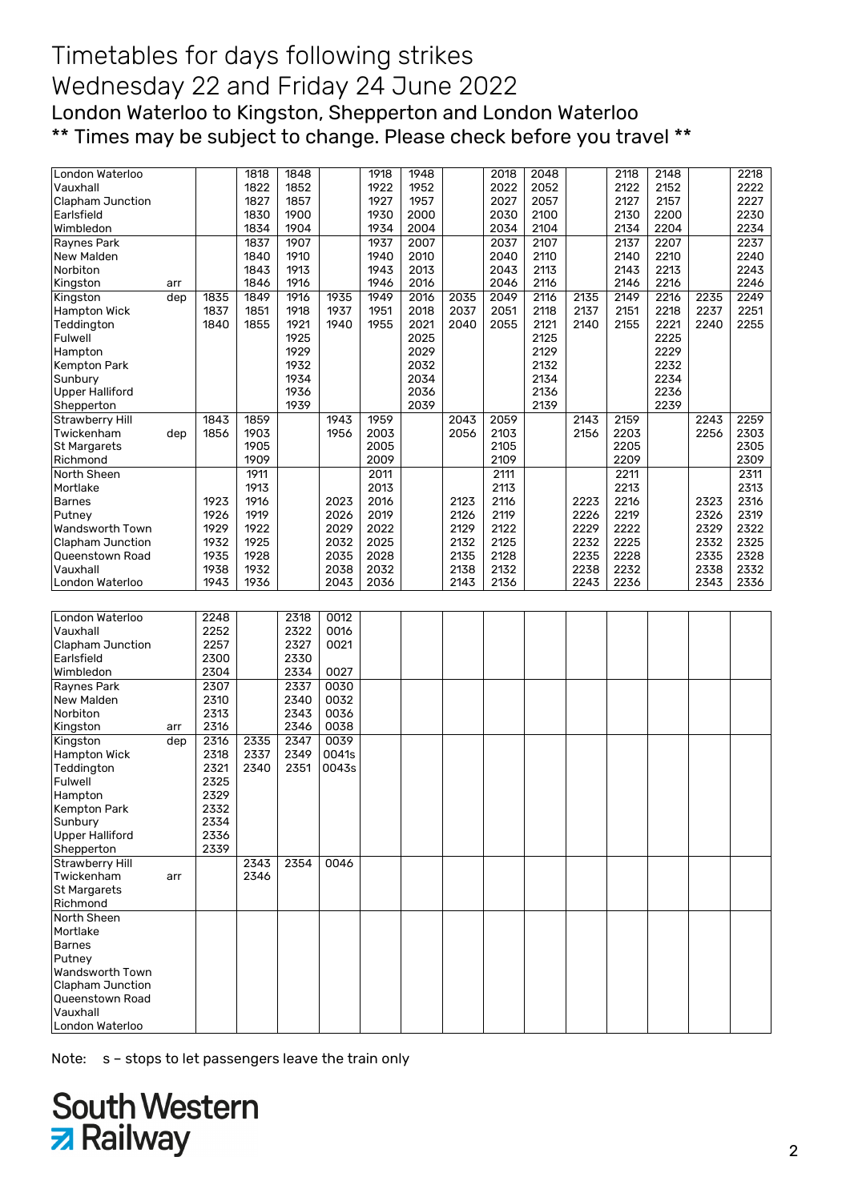## Timetables for days following strikes Wednesday 22 and Friday 24 June 2022 London Waterloo to Kingston, Shepperton and London Waterloo \*\* Times may be subject to change. Please check before you travel \*\*

| London Waterloo             |     |      | 1818 | 1848 |       | 1918 | 1948 |      | 2018 | 2048 |               | 2118 | 2148 |      | 2218 |
|-----------------------------|-----|------|------|------|-------|------|------|------|------|------|---------------|------|------|------|------|
| Vauxhall                    |     |      | 1822 | 1852 |       | 1922 | 1952 |      | 2022 | 2052 |               | 2122 | 2152 |      | 2222 |
| <b>Clapham Junction</b>     |     |      | 1827 | 1857 |       | 1927 | 1957 |      | 2027 | 2057 |               | 2127 | 2157 |      | 2227 |
| Earlsfield                  |     |      | 1830 | 1900 |       | 1930 | 2000 |      | 2030 | 2100 |               | 2130 | 2200 |      | 2230 |
| Wimbledon                   |     |      | 1834 | 1904 |       | 1934 | 2004 |      | 2034 | 2104 |               | 2134 | 2204 |      | 2234 |
| Raynes Park                 |     |      | 1837 | 1907 |       | 1937 | 2007 |      | 2037 | 2107 |               | 2137 | 2207 |      | 2237 |
| New Malden                  |     |      | 1840 | 1910 |       | 1940 | 2010 |      | 2040 | 2110 |               | 2140 | 2210 |      | 2240 |
| Norbiton                    |     |      | 1843 | 1913 |       | 1943 | 2013 |      | 2043 | 2113 |               | 2143 | 2213 |      | 2243 |
| Kingston                    | arr |      | 1846 | 1916 |       | 1946 | 2016 |      | 2046 | 2116 |               | 2146 | 2216 |      | 2246 |
| Kingston                    | dep | 1835 | 1849 | 1916 | 1935  | 1949 | 2016 | 2035 | 2049 | 2116 | 2135          | 2149 | 2216 | 2235 | 2249 |
| Hampton Wick                |     | 1837 | 1851 | 1918 | 1937  | 1951 | 2018 | 2037 | 2051 | 2118 | 2137          | 2151 | 2218 | 2237 | 2251 |
|                             |     |      |      |      |       |      |      |      |      |      |               |      |      |      |      |
| Teddington                  |     | 1840 | 1855 | 1921 | 1940  | 1955 | 2021 | 2040 | 2055 | 2121 | 2140          | 2155 | 2221 | 2240 | 2255 |
| Fulwell                     |     |      |      | 1925 |       |      | 2025 |      |      | 2125 |               |      | 2225 |      |      |
| Hampton                     |     |      |      | 1929 |       |      | 2029 |      |      | 2129 |               |      | 2229 |      |      |
| <b>Kempton Park</b>         |     |      |      | 1932 |       |      | 2032 |      |      | 2132 |               |      | 2232 |      |      |
| Sunbury                     |     |      |      | 1934 |       |      | 2034 |      |      | 2134 |               |      | 2234 |      |      |
| <b>Upper Halliford</b>      |     |      |      | 1936 |       |      | 2036 |      |      | 2136 |               |      | 2236 |      |      |
| Shepperton                  |     |      |      | 1939 |       |      | 2039 |      |      | 2139 |               |      | 2239 |      |      |
| <b>Strawberry Hill</b>      |     | 1843 | 1859 |      | 1943  | 1959 |      | 2043 | 2059 |      | $\sqrt{2143}$ | 2159 |      | 2243 | 2259 |
| Twickenham                  | dep | 1856 | 1903 |      | 1956  | 2003 |      | 2056 | 2103 |      | 2156          | 2203 |      | 2256 | 2303 |
| St Margarets                |     |      | 1905 |      |       | 2005 |      |      | 2105 |      |               | 2205 |      |      | 2305 |
| Richmond                    |     |      | 1909 |      |       | 2009 |      |      | 2109 |      |               | 2209 |      |      | 2309 |
| North Sheen                 |     |      | 1911 |      |       | 2011 |      |      | 2111 |      |               | 2211 |      |      | 2311 |
| Mortlake                    |     |      | 1913 |      |       | 2013 |      |      | 2113 |      |               | 2213 |      |      | 2313 |
| <b>Barnes</b>               |     | 1923 | 1916 |      | 2023  | 2016 |      | 2123 | 2116 |      | 2223          | 2216 |      | 2323 | 2316 |
| Putney                      |     | 1926 | 1919 |      | 2026  | 2019 |      | 2126 | 2119 |      | 2226          | 2219 |      | 2326 | 2319 |
| Wandsworth Town             |     | 1929 | 1922 |      | 2029  | 2022 |      | 2129 | 2122 |      | 2229          | 2222 |      | 2329 | 2322 |
| <b>Clapham Junction</b>     |     | 1932 | 1925 |      | 2032  | 2025 |      | 2132 | 2125 |      | 2232          | 2225 |      | 2332 | 2325 |
| Queenstown Road             |     | 1935 | 1928 |      | 2035  | 2028 |      | 2135 | 2128 |      | 2235          | 2228 |      | 2335 | 2328 |
| Vauxhall                    |     | 1938 | 1932 |      | 2038  | 2032 |      | 2138 | 2132 |      | 2238          | 2232 |      | 2338 | 2332 |
| London Waterloo             |     | 1943 | 1936 |      | 2043  | 2036 |      | 2143 | 2136 |      | 2243          | 2236 |      | 2343 | 2336 |
|                             |     |      |      |      |       |      |      |      |      |      |               |      |      |      |      |
|                             |     |      |      |      |       |      |      |      |      |      |               |      |      |      |      |
|                             |     |      |      |      |       |      |      |      |      |      |               |      |      |      |      |
| London Waterloo             |     | 2248 |      | 2318 | 0012  |      |      |      |      |      |               |      |      |      |      |
| Vauxhall                    |     | 2252 |      | 2322 | 0016  |      |      |      |      |      |               |      |      |      |      |
| Clapham Junction            |     | 2257 |      | 2327 | 0021  |      |      |      |      |      |               |      |      |      |      |
| Earlsfield                  |     | 2300 |      | 2330 |       |      |      |      |      |      |               |      |      |      |      |
| Wimbledon                   |     | 2304 |      | 2334 | 0027  |      |      |      |      |      |               |      |      |      |      |
| Raynes Park                 |     | 2307 |      | 2337 | 0030  |      |      |      |      |      |               |      |      |      |      |
| <b>New Malden</b>           |     | 2310 |      | 2340 | 0032  |      |      |      |      |      |               |      |      |      |      |
|                             |     |      |      |      |       |      |      |      |      |      |               |      |      |      |      |
| Norbiton                    |     | 2313 |      | 2343 | 0036  |      |      |      |      |      |               |      |      |      |      |
| Kingston                    | arr | 2316 |      | 2346 | 0038  |      |      |      |      |      |               |      |      |      |      |
| Kingston                    | dep | 2316 | 2335 | 2347 | 0039  |      |      |      |      |      |               |      |      |      |      |
| Hampton Wick                |     | 2318 | 2337 | 2349 | 0041s |      |      |      |      |      |               |      |      |      |      |
| Teddington                  |     | 2321 | 2340 | 2351 | 0043s |      |      |      |      |      |               |      |      |      |      |
| Fulwell                     |     | 2325 |      |      |       |      |      |      |      |      |               |      |      |      |      |
| Hampton                     |     | 2329 |      |      |       |      |      |      |      |      |               |      |      |      |      |
| Kempton Park                |     | 2332 |      |      |       |      |      |      |      |      |               |      |      |      |      |
| Sunbury                     |     | 2334 |      |      |       |      |      |      |      |      |               |      |      |      |      |
| <b>Upper Halliford</b>      |     | 2336 |      |      |       |      |      |      |      |      |               |      |      |      |      |
| Shepperton                  |     | 2339 |      |      |       |      |      |      |      |      |               |      |      |      |      |
| <b>Strawberry Hill</b>      |     |      | 2343 | 2354 | 0046  |      |      |      |      |      |               |      |      |      |      |
| Twickenham                  | arr |      | 2346 |      |       |      |      |      |      |      |               |      |      |      |      |
| St Margarets                |     |      |      |      |       |      |      |      |      |      |               |      |      |      |      |
| Richmond                    |     |      |      |      |       |      |      |      |      |      |               |      |      |      |      |
| North Sheen                 |     |      |      |      |       |      |      |      |      |      |               |      |      |      |      |
| Mortlake                    |     |      |      |      |       |      |      |      |      |      |               |      |      |      |      |
| <b>Barnes</b>               |     |      |      |      |       |      |      |      |      |      |               |      |      |      |      |
| Putney                      |     |      |      |      |       |      |      |      |      |      |               |      |      |      |      |
| Wandsworth Town             |     |      |      |      |       |      |      |      |      |      |               |      |      |      |      |
| Clapham Junction            |     |      |      |      |       |      |      |      |      |      |               |      |      |      |      |
| Queenstown Road             |     |      |      |      |       |      |      |      |      |      |               |      |      |      |      |
| Vauxhall<br>London Waterloo |     |      |      |      |       |      |      |      |      |      |               |      |      |      |      |

Note: s – stops to let passengers leave the train only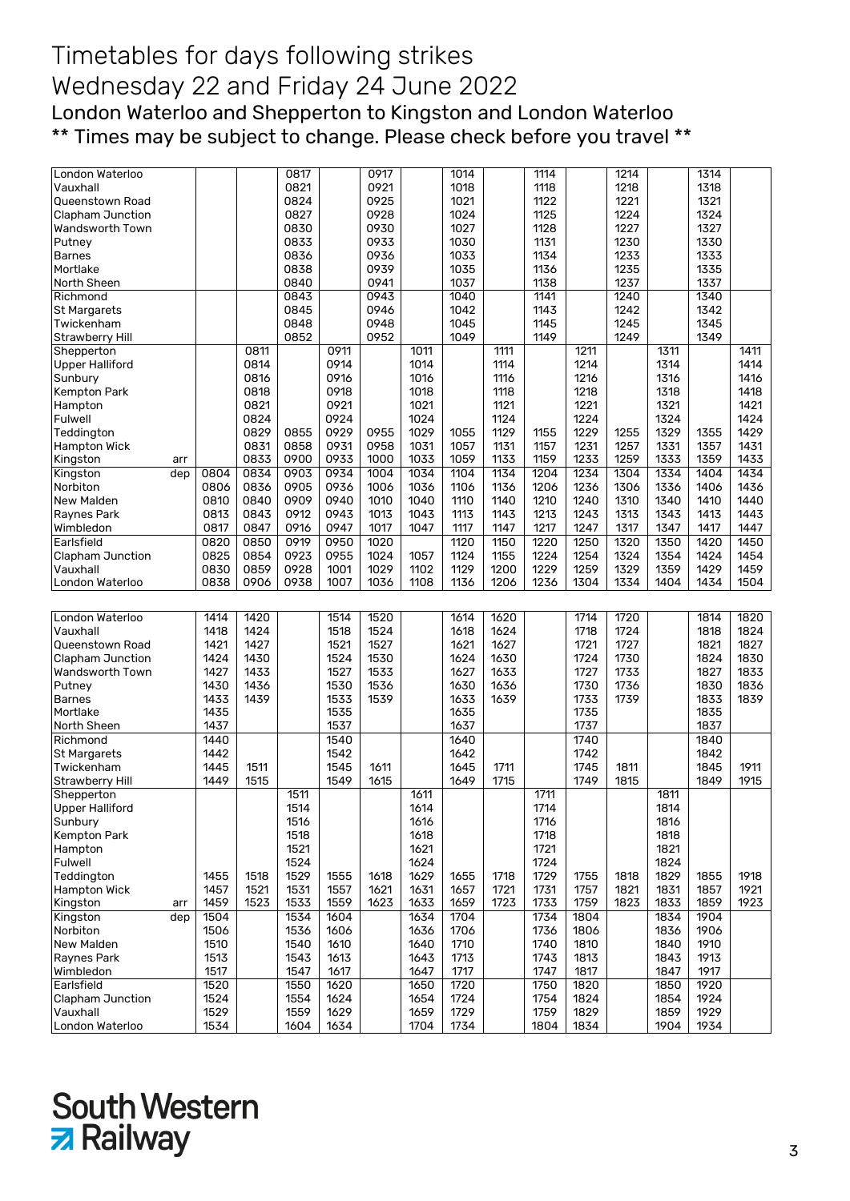## Timetables for days following strikes Wednesday 22 and Friday 24 June 2022 London Waterloo and Shepperton to Kingston and London Waterloo \*\* Times may be subject to change. Please check before you travel \*\*

| London Waterloo                   |     |              |      | 0817         |              | 0917 |              | 1014         |      | 1114         |              | 1214 |              | 1314         |      |
|-----------------------------------|-----|--------------|------|--------------|--------------|------|--------------|--------------|------|--------------|--------------|------|--------------|--------------|------|
| Vauxhall                          |     |              |      | 0821         |              | 0921 |              | 1018         |      | 1118         |              | 1218 |              | 1318         |      |
| Queenstown Road                   |     |              |      | 0824         |              | 0925 |              | 1021         |      | 1122         |              | 1221 |              | 1321         |      |
| Clapham Junction                  |     |              |      | 0827         |              | 0928 |              | 1024         |      | 1125         |              | 1224 |              | 1324         |      |
| Wandsworth Town                   |     |              |      | 0830         |              | 0930 |              | 1027         |      | 1128         |              | 1227 |              | 1327         |      |
| Putney                            |     |              |      | 0833         |              | 0933 |              | 1030         |      | 1131         |              | 1230 |              | 1330         |      |
| <b>Barnes</b>                     |     |              |      | 0836         |              | 0936 |              | 1033         |      | 1134         |              | 1233 |              | 1333         |      |
| Mortlake                          |     |              |      | 0838         |              | 0939 |              | 1035         |      | 1136         |              | 1235 |              | 1335         |      |
| North Sheen                       |     |              |      | 0840         |              | 0941 |              | 1037         |      | 1138         |              | 1237 |              | 1337         |      |
| Richmond                          |     |              |      | 0843         |              | 0943 |              | 1040         |      | 1141         |              | 1240 |              | 1340         |      |
|                                   |     |              |      | 0845         |              | 0946 |              | 1042         |      | 1143         |              | 1242 |              | 1342         |      |
| <b>St Margarets</b><br>Twickenham |     |              |      | 0848         |              | 0948 |              | 1045         |      | 1145         |              | 1245 |              | 1345         |      |
|                                   |     |              |      |              |              |      |              |              |      |              |              |      |              |              |      |
| <b>Strawberry Hill</b>            |     |              |      | 0852         |              | 0952 |              | 1049         |      | 1149         |              | 1249 |              | 1349         |      |
| Shepperton                        |     |              | 0811 |              | 0911         |      | 1011         |              | 1111 |              | 1211         |      | 1311         |              | 1411 |
| <b>Upper Halliford</b>            |     |              | 0814 |              | 0914         |      | 1014         |              | 1114 |              | 1214         |      | 1314         |              | 1414 |
| Sunbury                           |     |              | 0816 |              | 0916         |      | 1016         |              | 1116 |              | 1216         |      | 1316         |              | 1416 |
| Kempton Park                      |     |              | 0818 |              | 0918         |      | 1018         |              | 1118 |              | 1218         |      | 1318         |              | 1418 |
| Hampton                           |     |              | 0821 |              | 0921         |      | 1021         |              | 1121 |              | 1221         |      | 1321         |              | 1421 |
| Fulwell                           |     |              | 0824 |              | 0924         |      | 1024         |              | 1124 |              | 1224         |      | 1324         |              | 1424 |
| Teddington                        |     |              | 0829 | 0855         | 0929         | 0955 | 1029         | 1055         | 1129 | 1155         | 1229         | 1255 | 1329         | 1355         | 1429 |
| <b>Hampton Wick</b>               |     |              | 0831 | 0858         | 0931         | 0958 | 1031         | 1057         | 1131 | 1157         | 1231         | 1257 | 1331         | 1357         | 1431 |
| Kingston                          | arr |              | 0833 | 0900         | 0933         | 1000 | 1033         | 1059         | 1133 | 1159         | 1233         | 1259 | 1333         | 1359         | 1433 |
| Kingston                          | dep | 0804         | 0834 | 0903         | 0934         | 1004 | 1034         | 1104         | 1134 | 1204         | 1234         | 1304 | 1334         | 1404         | 1434 |
| Norbiton                          |     | 0806         | 0836 | 0905         | 0936         | 1006 | 1036         | 1106         | 1136 | 1206         | 1236         | 1306 | 1336         | 1406         | 1436 |
| New Malden                        |     | 0810         | 0840 | 0909         | 0940         | 1010 | 1040         | 1110         | 1140 | 1210         | 1240         | 1310 | 1340         | 1410         | 1440 |
| Raynes Park                       |     | 0813         | 0843 | 0912         | 0943         | 1013 | 1043         | 1113         | 1143 | 1213         | 1243         | 1313 | 1343         | 1413         | 1443 |
| Wimbledon                         |     | 0817         | 0847 | 0916         | 0947         | 1017 | 1047         | 1117         | 1147 | 1217         | 1247         | 1317 | 1347         | 1417         | 1447 |
| Earlsfield                        |     | 0820         | 0850 | 0919         | 0950         | 1020 |              | 1120         | 1150 | 1220         | 1250         | 1320 | 1350         | 1420         | 1450 |
| Clapham Junction                  |     | 0825         | 0854 | 0923         | 0955         | 1024 | 1057         | 1124         | 1155 | 1224         | 1254         | 1324 | 1354         | 1424         | 1454 |
| Vauxhall                          |     | 0830         | 0859 | 0928         | 1001         | 1029 | 1102         | 1129         | 1200 | 1229         | 1259         | 1329 | 1359         | 1429         | 1459 |
| London Waterloo                   |     | 0838         | 0906 | 0938         | 1007         | 1036 | 1108         | 1136         | 1206 | 1236         | 1304         | 1334 | 1404         | 1434         | 1504 |
|                                   |     |              |      |              |              |      |              |              |      |              |              |      |              |              |      |
|                                   |     |              |      |              |              |      |              |              |      |              |              |      |              |              |      |
|                                   |     |              |      |              |              |      |              |              |      |              |              |      |              |              |      |
| London Waterloo                   |     | 1414         | 1420 |              | 1514         | 1520 |              | 1614         | 1620 |              | 1714         | 1720 |              | 1814         | 1820 |
| Vauxhall                          |     | 1418         | 1424 |              | 1518         | 1524 |              | 1618         | 1624 |              | 1718         | 1724 |              | 1818         | 1824 |
| Queenstown Road                   |     | 1421         | 1427 |              | 1521         | 1527 |              | 1621         | 1627 |              | 1721         | 1727 |              | 1821         | 1827 |
| Clapham Junction                  |     | 1424         | 1430 |              | 1524         | 1530 |              | 1624         | 1630 |              | 1724         | 1730 |              | 1824         | 1830 |
| Wandsworth Town                   |     | 1427         | 1433 |              | 1527         | 1533 |              | 1627         | 1633 |              | 1727         | 1733 |              | 1827         | 1833 |
| Putney                            |     | 1430         | 1436 |              | 1530         | 1536 |              | 1630         | 1636 |              | 1730         | 1736 |              | 1830         | 1836 |
| <b>Barnes</b>                     |     | 1433         | 1439 |              | 1533         | 1539 |              | 1633         | 1639 |              | 1733         | 1739 |              | 1833         | 1839 |
| Mortlake                          |     | 1435         |      |              | 1535         |      |              | 1635         |      |              | 1735         |      |              | 1835         |      |
| North Sheen                       |     | 1437         |      |              | 1537         |      |              | 1637         |      |              | 1737         |      |              | 1837         |      |
|                                   |     |              |      |              |              |      |              |              |      |              |              |      |              |              |      |
| Richmond                          |     | 1440         |      |              | 1540         |      |              | 1640         |      |              | 1740         |      |              | 1840         |      |
| St Margarets                      |     | 1442         |      |              | 1542         |      |              | 1642         |      |              | 1742         |      |              | 1842         |      |
| Twickenham                        |     | 1445         | 1511 |              | 1545         | 1611 |              | 1645         | 1711 |              | 1745         | 1811 |              | 1845         | 1911 |
| <b>Strawberry Hill</b>            |     | 1449         | 1515 |              | 1549         | 1615 |              | 1649         | 1715 |              | 1749         | 1815 |              | 1849         | 1915 |
| Shepperton                        |     |              |      | 1511         |              |      | 1611         |              |      | 1711         |              |      | 1811         |              |      |
| <b>Upper Halliford</b>            |     |              |      | 1514         |              |      | 1614         |              |      | 1714         |              |      | 1814         |              |      |
| Sunbury                           |     |              |      | 1516         |              |      | 1616         |              |      | 1716         |              |      | 1816         |              |      |
| Kempton Park                      |     |              |      | 1518         |              |      | 1618         |              |      | 1718         |              |      | 1818         |              |      |
| Hampton                           |     |              |      | 1521         |              |      | 1621         |              |      | 1721         |              |      | 1821         |              |      |
| Fulwell                           |     |              |      | 1524         |              |      | 1624         |              |      | 1724         |              |      | 1824         |              |      |
| Teddington                        |     | 1455         | 1518 | 1529         | 1555         | 1618 | 1629         | 1655         | 1718 | 1729         | 1755         | 1818 | 1829         | 1855         | 1918 |
| <b>Hampton Wick</b>               |     | 1457         | 1521 | 1531         | 1557         | 1621 | 1631         | 1657         | 1721 | 1731         | 1757         | 1821 | 1831         | 1857         | 1921 |
| Kingston                          | arr | 1459         | 1523 | 1533         | 1559         | 1623 | 1633         | 1659         | 1723 | 1733         | 1759         | 1823 | 1833         | 1859         | 1923 |
| Kingston                          | dep | 1504         |      | 1534         | 1604         |      | 1634         | 1704         |      | 1734         | 1804         |      | 1834         | 1904         |      |
| Norbiton                          |     | 1506         |      | 1536         | 1606         |      | 1636         | 1706         |      | 1736         | 1806         |      | 1836         | 1906         |      |
| New Malden                        |     | 1510         |      | 1540         | 1610         |      | 1640         | 1710         |      | 1740         | 1810         |      | 1840         | 1910         |      |
| <b>Raynes Park</b>                |     | 1513         |      | 1543         | 1613         |      | 1643         | 1713         |      | 1743         | 1813         |      | 1843         | 1913         |      |
| Wimbledon                         |     | 1517         |      | 1547         | 1617         |      | 1647         | 1717         |      | 1747         | 1817         |      | 1847         | 1917         |      |
| Earlsfield                        |     | 1520         |      | 1550         | 1620         |      | 1650         | 1720         |      | 1750         | 1820         |      | 1850         | 1920         |      |
| Clapham Junction                  |     | 1524         |      | 1554         | 1624         |      | 1654         | 1724         |      | 1754         | 1824         |      | 1854         | 1924         |      |
| Vauxhall<br>London Waterloo       |     | 1529<br>1534 |      | 1559<br>1604 | 1629<br>1634 |      | 1659<br>1704 | 1729<br>1734 |      | 1759<br>1804 | 1829<br>1834 |      | 1859<br>1904 | 1929<br>1934 |      |